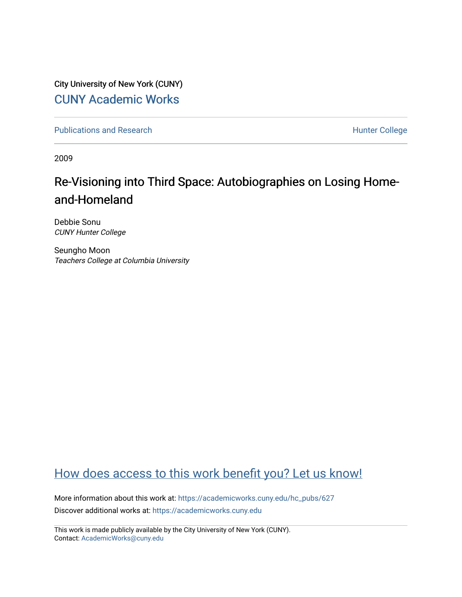City University of New York (CUNY) [CUNY Academic Works](https://academicworks.cuny.edu/) 

[Publications and Research](https://academicworks.cuny.edu/hc_pubs) **Hunter College** Hunter College

2009

# Re-Visioning into Third Space: Autobiographies on Losing Homeand-Homeland

Debbie Sonu CUNY Hunter College

Seungho Moon Teachers College at Columbia University

## [How does access to this work benefit you? Let us know!](http://ols.cuny.edu/academicworks/?ref=https://academicworks.cuny.edu/hc_pubs/627)

More information about this work at: [https://academicworks.cuny.edu/hc\\_pubs/627](https://academicworks.cuny.edu/hc_pubs/627) Discover additional works at: [https://academicworks.cuny.edu](https://academicworks.cuny.edu/?)

This work is made publicly available by the City University of New York (CUNY). Contact: [AcademicWorks@cuny.edu](mailto:AcademicWorks@cuny.edu)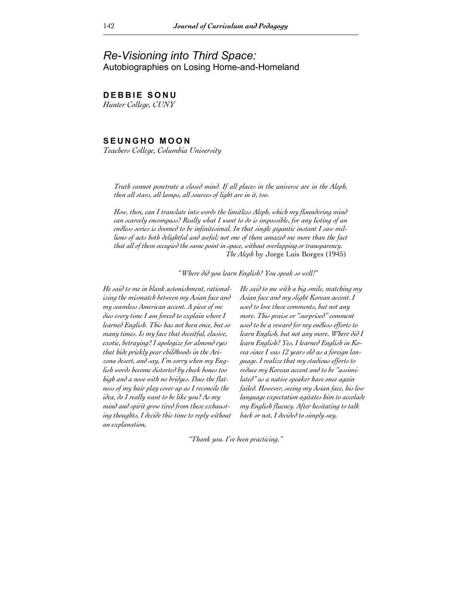### *Re-Visioning into Third Space:*  Autobiographies on Losing Home-and-Homeland

#### **DEBBIE SONU**

*Hunter College, CUNY* 

#### **SEUNGHO MOON**

*Teachers College, Columbia University* 

*Truth cannot penetrate a closed mind. If all places in the universe are in the Aleph, then all stars, all lamps, all sources of light are in it, too.* 

*How, then, can I translate into words the limitless Aleph, which my floundering mind can scarcely encompass? Really what I want to do is impossible, for any listing of an endless series is doomed to be infinitesimal. In that single gigantic instant I saw millions of acts both delightful and awful; not one of them amazed me more than the fact that all of them occupied the same point in space, without overlapping or transparency. The Aleph* by Jorge Luis Borges (1945)

"*Where did you learn English? You speak so well!*"

*He said to me in blank astonishment, rationalizing the mismatch between my Asian face and my seamless American accent. A piece of me dies every time I am forced to explain where I learned English. This has not been once, but so many times. Is my face that deceitful, elusive, exotic, betraying? I apologize for almond eyes that hide prickly pear childhoods in the Arizona desert, and say, I'm sorry when my English words become distorted by cheek bones too high and a nose with no bridges. Does the flatness of my hair play cover up as I reconcile the idea, do I really want to be like you? As my mind and spirit grow tired from these exhausting thoughts, I decide this time to reply without an explanation,* 

*He said to me with a big smile, matching my Asian face and my slight Korean accent. I used to love these comments, but not any more. This praise or "surprised" comment used to be a reward for my endless efforts to learn English, but not any more. Where did I learn English? Yes, I learned English in Korea since I was 12 years old as a foreign language. I realize that my studious efforts to reduce my Korean accent and to be "assimilated" as a native speaker have once again failed. However, seeing my Asian face, his low language expectation agitates him to accolade my English fluency. After hesitating to talk back or not, I decided to simply say,* 

 *"Thank you. I've been practicing."*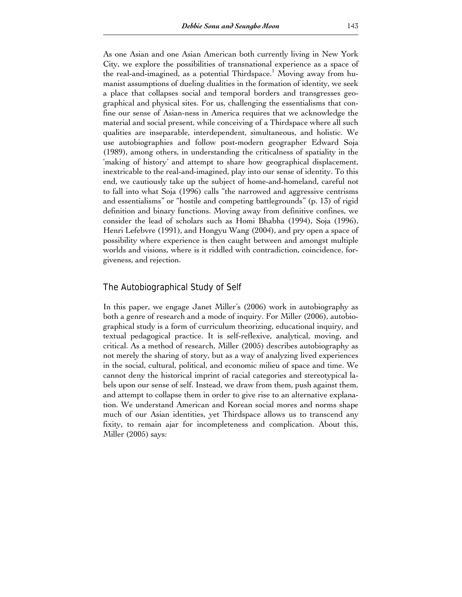As one Asian and one Asian American both currently living in New York City, we explore the possibilities of transnational experience as a space of the real-and-imagined, as a potential Thirdspace.<sup>1</sup> Moving away from humanist assumptions of dueling dualities in the formation of identity, we seek a place that collapses social and temporal borders and transgresses geographical and physical sites. For us, challenging the essentialisms that confine our sense of Asian-ness in America requires that we acknowledge the material and social present, while conceiving of a Thirdspace where all such qualities are inseparable, interdependent, simultaneous, and holistic. We use autobiographies and follow post-modern geographer Edward Soja (1989), among others, in understanding the criticalness of spatiality in the 'making of history' and attempt to share how geographical displacement, inextricable to the real-and-imagined, play into our sense of identity. To this end, we cautiously take up the subject of home-and-homeland, careful not to fall into what Soja (1996) calls "the narrowed and aggressive centrisms and essentialisms" or "hostile and competing battlegrounds" (p. 13) of rigid definition and binary functions. Moving away from definitive confines, we consider the lead of scholars such as Homi Bhabha (1994), Soja (1996), Henri Lefebvre (1991), and Hongyu Wang (2004), and pry open a space of possibility where experience is then caught between and amongst multiple worlds and visions, where is it riddled with contradiction, coincidence, forgiveness, and rejection.

#### The Autobiographical Study of Self

In this paper, we engage Janet Miller's (2006) work in autobiography as both a genre of research and a mode of inquiry. For Miller (2006), autobiographical study is a form of curriculum theorizing, educational inquiry, and textual pedagogical practice. It is self-reflexive, analytical, moving, and critical. As a method of research, Miller (2005) describes autobiography as not merely the sharing of story, but as a way of analyzing lived experiences in the social, cultural, political, and economic milieu of space and time. We cannot deny the historical imprint of racial categories and stereotypical labels upon our sense of self. Instead, we draw from them, push against them, and attempt to collapse them in order to give rise to an alternative explanation. We understand American and Korean social mores and norms shape much of our Asian identities, yet Thirdspace allows us to transcend any fixity, to remain ajar for incompleteness and complication. About this, Miller (2005) says: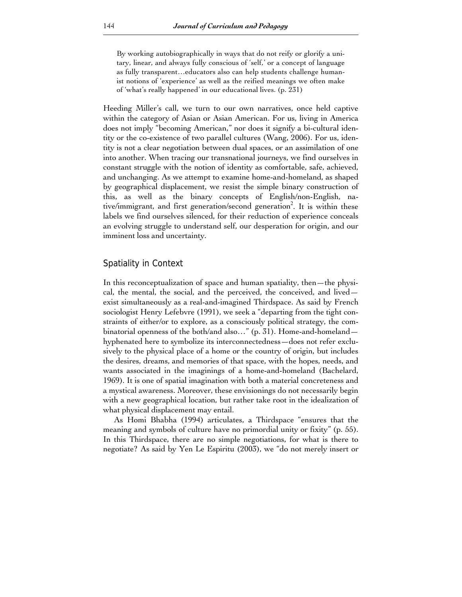By working autobiographically in ways that do not reify or glorify a unitary, linear, and always fully conscious of 'self,' or a concept of language as fully transparent…educators also can help students challenge humanist notions of 'experience' as well as the reified meanings we often make of 'what's really happened' in our educational lives. (p. 231)

Heeding Miller's call, we turn to our own narratives, once held captive within the category of Asian or Asian American. For us, living in America does not imply "becoming American," nor does it signify a bi-cultural identity or the co-existence of two parallel cultures (Wang, 2006). For us, identity is not a clear negotiation between dual spaces, or an assimilation of one into another. When tracing our transnational journeys, we find ourselves in constant struggle with the notion of identity as comfortable, safe, achieved, and unchanging. As we attempt to examine home-and-homeland, as shaped by geographical displacement, we resist the simple binary construction of this, as well as the binary concepts of English/non-English, native/immigrant, and first generation/second generation<sup>2</sup>. It is within these labels we find ourselves silenced, for their reduction of experience conceals an evolving struggle to understand self, our desperation for origin, and our imminent loss and uncertainty.

#### Spatiality in Context

In this reconceptualization of space and human spatiality, then—the physical, the mental, the social, and the perceived, the conceived, and lived exist simultaneously as a real-and-imagined Thirdspace. As said by French sociologist Henry Lefebvre (1991), we seek a "departing from the tight constraints of either/or to explore, as a consciously political strategy, the combinatorial openness of the both/and also…" (p. 31). Home-and-homeland hyphenated here to symbolize its interconnectedness—does not refer exclusively to the physical place of a home or the country of origin, but includes the desires, dreams, and memories of that space, with the hopes, needs, and wants associated in the imaginings of a home-and-homeland (Bachelard, 1969). It is one of spatial imagination with both a material concreteness and a mystical awareness. Moreover, these envisionings do not necessarily begin with a new geographical location, but rather take root in the idealization of what physical displacement may entail.

As Homi Bhabha (1994) articulates, a Thirdspace "ensures that the meaning and symbols of culture have no primordial unity or fixity" (p. 55). In this Thirdspace, there are no simple negotiations, for what is there to negotiate? As said by Yen Le Espiritu (2003), we "do not merely insert or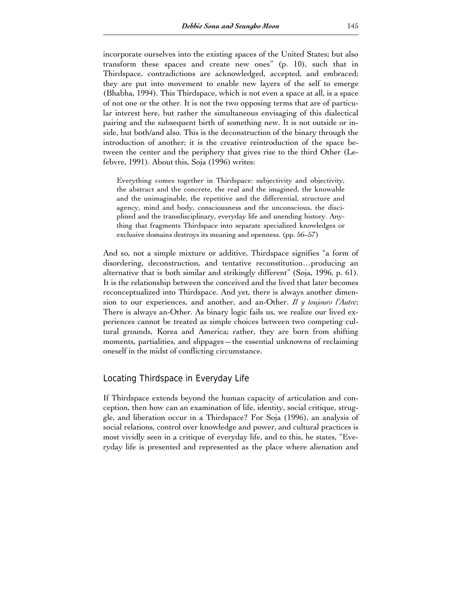incorporate ourselves into the existing spaces of the United States; but also transform these spaces and create new ones" (p. 10), such that in Thirdspace, contradictions are acknowledged, accepted, and embraced; they are put into movement to enable new layers of the self to emerge (Bhabha, 1994). This Thirdspace, which is not even a space at all, is a space of not one or the other. It is not the two opposing terms that are of particular interest here, but rather the simultaneous envisaging of this dialectical pairing and the subsequent birth of something new. It is not outside or inside, but both/and also. This is the deconstruction of the binary through the introduction of another; it is the creative reintroduction of the space between the center and the periphery that gives rise to the third Other (Lefebvre, 1991). About this, Soja (1996) writes:

Everything comes together in Thirdspace: subjectivity and objectivity, the abstract and the concrete, the real and the imagined, the knowable and the unimaginable, the repetitive and the differential, structure and agency, mind and body, consciousness and the unconscious, the disciplined and the transdisciplinary, everyday life and unending history. Anything that fragments Thirdspace into separate specialized knowledges or exclusive domains destroys its meaning and openness. (pp. 56–57)

And so, not a simple mixture or additive, Thirdspace signifies "a form of disordering, deconstruction, and tentative reconstitution…producing an alternative that is both similar and strikingly different" (Soja, 1996, p. 61). It is the relationship between the conceived and the lived that later becomes reconceptualized into Thirdspace. And yet, there is always another dimension to our experiences, and another, and an-Other. *Il y toujours l'Autre*; There is always an-Other. As binary logic fails us, we realize our lived experiences cannot be treated as simple choices between two competing cultural grounds, Korea and America; rather, they are born from shifting moments, partialities, and slippages—the essential unknowns of reclaiming oneself in the midst of conflicting circumstance.

#### Locating Thirdspace in Everyday Life

If Thirdspace extends beyond the human capacity of articulation and conception, then how can an examination of life, identity, social critique, struggle, and liberation occur in a Thirdspace? For Soja (1996), an analysis of social relations, control over knowledge and power, and cultural practices is most vividly seen in a critique of everyday life, and to this, he states, "Everyday life is presented and represented as the place where alienation and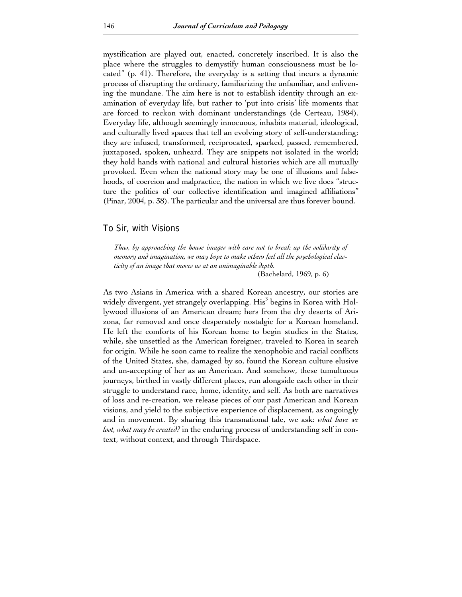mystification are played out, enacted, concretely inscribed. It is also the place where the struggles to demystify human consciousness must be located" (p. 41). Therefore, the everyday is a setting that incurs a dynamic process of disrupting the ordinary, familiarizing the unfamiliar, and enlivening the mundane. The aim here is not to establish identity through an examination of everyday life, but rather to 'put into crisis' life moments that are forced to reckon with dominant understandings (de Certeau, 1984). Everyday life, although seemingly innocuous, inhabits material, ideological, and culturally lived spaces that tell an evolving story of self-understanding; they are infused, transformed, reciprocated, sparked, passed, remembered, juxtaposed, spoken, unheard. They are snippets not isolated in the world; they hold hands with national and cultural histories which are all mutually provoked. Even when the national story may be one of illusions and falsehoods, of coercion and malpractice, the nation in which we live does "structure the politics of our collective identification and imagined affiliations" (Pinar, 2004, p. 38). The particular and the universal are thus forever bound.

#### To Sir, with Visions

*Thus, by approaching the house images with care not to break up the solidarity of memory and imagination, we may hope to make others feel all the psychological elasticity of an image that moves us at an unimaginable depth.* 

(Bachelard, 1969, p. 6)

As two Asians in America with a shared Korean ancestry, our stories are widely divergent, yet strangely overlapping. His $^3$  begins in Korea with Hollywood illusions of an American dream; hers from the dry deserts of Arizona, far removed and once desperately nostalgic for a Korean homeland. He left the comforts of his Korean home to begin studies in the States, while, she unsettled as the American foreigner, traveled to Korea in search for origin. While he soon came to realize the xenophobic and racial conflicts of the United States, she, damaged by so, found the Korean culture elusive and un-accepting of her as an American. And somehow, these tumultuous journeys, birthed in vastly different places, run alongside each other in their struggle to understand race, home, identity, and self. As both are narratives of loss and re-creation, we release pieces of our past American and Korean visions, and yield to the subjective experience of displacement, as ongoingly and in movement. By sharing this transnational tale, we ask: *what have we lost, what may be created?* in the enduring process of understanding self in context, without context, and through Thirdspace.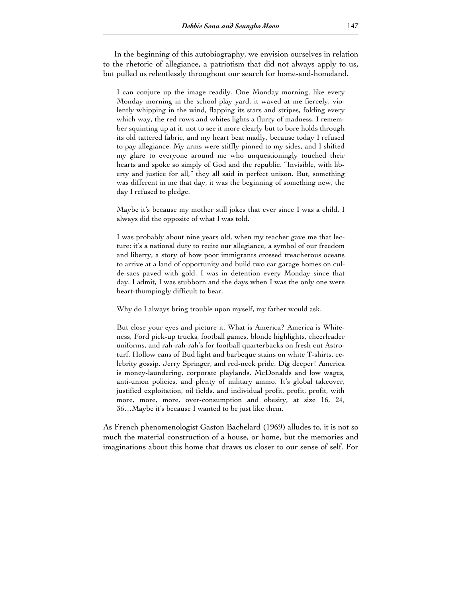In the beginning of this autobiography, we envision ourselves in relation to the rhetoric of allegiance, a patriotism that did not always apply to us, but pulled us relentlessly throughout our search for home-and-homeland.

I can conjure up the image readily. One Monday morning, like every Monday morning in the school play yard, it waved at me fiercely, violently whipping in the wind, flapping its stars and stripes, folding every which way, the red rows and whites lights a flurry of madness. I remember squinting up at it, not to see it more clearly but to bore holds through its old tattered fabric, and my heart beat madly, because today I refused to pay allegiance. My arms were stiffly pinned to my sides, and I shifted my glare to everyone around me who unquestioningly touched their hearts and spoke so simply of God and the republic. "Invisible, with liberty and justice for all," they all said in perfect unison. But, something was different in me that day, it was the beginning of something new, the day I refused to pledge.

Maybe it's because my mother still jokes that ever since I was a child, I always did the opposite of what I was told.

I was probably about nine years old, when my teacher gave me that lecture: it's a national duty to recite our allegiance, a symbol of our freedom and liberty, a story of how poor immigrants crossed treacherous oceans to arrive at a land of opportunity and build two car garage homes on culde-sacs paved with gold. I was in detention every Monday since that day. I admit, I was stubborn and the days when I was the only one were heart-thumpingly difficult to bear.

Why do I always bring trouble upon myself, my father would ask.

But close your eyes and picture it. What is America? America is Whiteness, Ford pick-up trucks, football games, blonde highlights, cheerleader uniforms, and rah-rah-rah's for football quarterbacks on fresh cut Astroturf. Hollow cans of Bud light and barbeque stains on white T-shirts, celebrity gossip, Jerry Springer, and red-neck pride. Dig deeper! America is money-laundering, corporate playlands, McDonalds and low wages, anti-union policies, and plenty of military ammo. It's global takeover, justified exploitation, oil fields, and individual profit, profit, profit, with more, more, more, over-consumption and obesity, at size 16, 24, 36…Maybe it's because I wanted to be just like them.

As French phenomenologist Gaston Bachelard (1969) alludes to, it is not so much the material construction of a house, or home, but the memories and imaginations about this home that draws us closer to our sense of self. For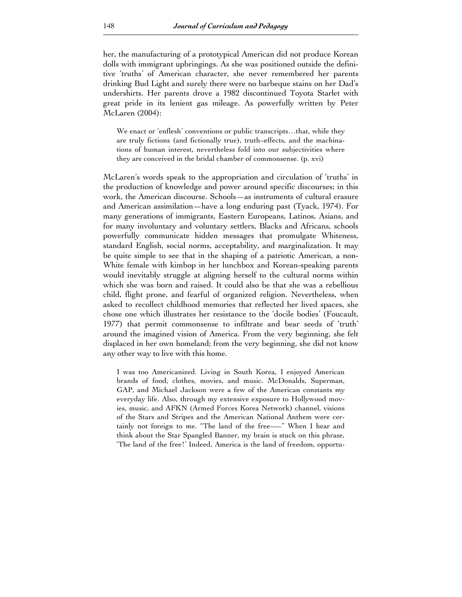her, the manufacturing of a prototypical American did not produce Korean dolls with immigrant upbringings. As she was positioned outside the definitive 'truths' of American character, she never remembered her parents drinking Bud Light and surely there were no barbeque stains on her Dad's undershirts. Her parents drove a 1982 discontinued Toyota Starlet with great pride in its lenient gas mileage. As powerfully written by Peter McLaren (2004):

We enact or 'enflesh' conventions or public transcripts…that, while they are truly fictions (and fictionally true), truth–effects, and the machinations of human interest, nevertheless fold into our subjectivities where they are conceived in the bridal chamber of commonsense. (p. xvi)

McLaren's words speak to the appropriation and circulation of 'truths' in the production of knowledge and power around specific discourses; in this work, the American discourse. Schools—as instruments of cultural erasure and American assimilation—have a long enduring past (Tyack, 1974). For many generations of immigrants, Eastern Europeans, Latinos, Asians, and for many involuntary and voluntary settlers, Blacks and Africans, schools powerfully communicate hidden messages that promulgate Whiteness, standard English, social norms, acceptability, and marginalization. It may be quite simple to see that in the shaping of a patriotic American, a non-White female with kimbop in her lunchbox and Korean-speaking parents would inevitably struggle at aligning herself to the cultural norms within which she was born and raised. It could also be that she was a rebellious child, flight prone, and fearful of organized religion. Nevertheless, when asked to recollect childhood memories that reflected her lived spaces, she chose one which illustrates her resistance to the 'docile bodies' (Foucault, 1977) that permit commonsense to infiltrate and bear seeds of 'truth' around the imagined vision of America. From the very beginning, she felt displaced in her own homeland; from the very beginning, she did not know any other way to live with this home.

I was too Americanized. Living in South Korea, I enjoyed American brands of food, clothes, movies, and music. McDonalds, Superman, GAP, and Michael Jackson were a few of the American constants my everyday life. Also, through my extensive exposure to Hollywood movies, music, and AFKN (Armed Forces Korea Network) channel, visions of the Stars and Stripes and the American National Anthem were certainly not foreign to me. "The land of the free~~~" When I hear and think about the Star Spangled Banner, my brain is stuck on this phrase, 'The land of the free!' Indeed, America is the land of freedom, opportu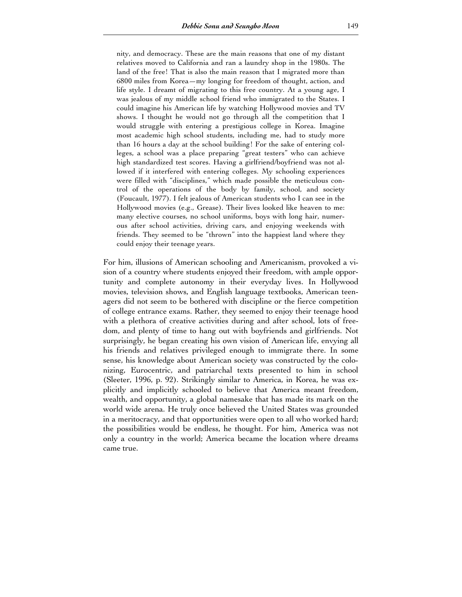nity, and democracy. These are the main reasons that one of my distant relatives moved to California and ran a laundry shop in the 1980s. The land of the free! That is also the main reason that I migrated more than 6800 miles from Korea—my longing for freedom of thought, action, and life style. I dreamt of migrating to this free country. At a young age, I was jealous of my middle school friend who immigrated to the States. I could imagine his American life by watching Hollywood movies and TV shows. I thought he would not go through all the competition that I would struggle with entering a prestigious college in Korea. Imagine most academic high school students, including me, had to study more than 16 hours a day at the school building! For the sake of entering colleges, a school was a place preparing "great testers" who can achieve high standardized test scores. Having a girlfriend/boyfriend was not allowed if it interfered with entering colleges. My schooling experiences were filled with "disciplines," which made possible the meticulous control of the operations of the body by family, school, and society (Foucault, 1977). I felt jealous of American students who I can see in the Hollywood movies (e.g., Grease). Their lives looked like heaven to me: many elective courses, no school uniforms, boys with long hair, numerous after school activities, driving cars, and enjoying weekends with friends. They seemed to be "thrown" into the happiest land where they could enjoy their teenage years.

For him, illusions of American schooling and Americanism, provoked a vision of a country where students enjoyed their freedom, with ample opportunity and complete autonomy in their everyday lives. In Hollywood movies, television shows, and English language textbooks, American teenagers did not seem to be bothered with discipline or the fierce competition of college entrance exams. Rather, they seemed to enjoy their teenage hood with a plethora of creative activities during and after school, lots of freedom, and plenty of time to hang out with boyfriends and girlfriends. Not surprisingly, he began creating his own vision of American life, envying all his friends and relatives privileged enough to immigrate there. In some sense, his knowledge about American society was constructed by the colonizing, Eurocentric, and patriarchal texts presented to him in school (Sleeter, 1996, p. 92). Strikingly similar to America, in Korea, he was explicitly and implicitly schooled to believe that America meant freedom, wealth, and opportunity, a global namesake that has made its mark on the world wide arena. He truly once believed the United States was grounded in a meritocracy, and that opportunities were open to all who worked hard; the possibilities would be endless, he thought. For him, America was not only a country in the world; America became the location where dreams came true.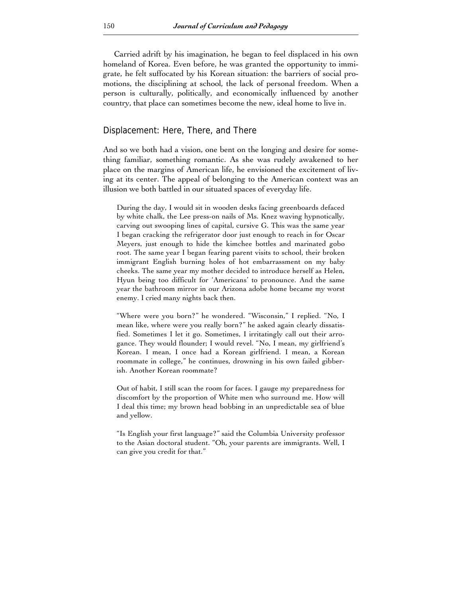Carried adrift by his imagination, he began to feel displaced in his own homeland of Korea. Even before, he was granted the opportunity to immigrate, he felt suffocated by his Korean situation: the barriers of social promotions, the disciplining at school, the lack of personal freedom. When a person is culturally, politically, and economically influenced by another country, that place can sometimes become the new, ideal home to live in.

#### Displacement: Here, There, and There

And so we both had a vision, one bent on the longing and desire for something familiar, something romantic. As she was rudely awakened to her place on the margins of American life, he envisioned the excitement of living at its center. The appeal of belonging to the American context was an illusion we both battled in our situated spaces of everyday life.

During the day, I would sit in wooden desks facing greenboards defaced by white chalk, the Lee press-on nails of Ms. Knez waving hypnotically, carving out swooping lines of capital, cursive G. This was the same year I began cracking the refrigerator door just enough to reach in for Oscar Meyers, just enough to hide the kimchee bottles and marinated gobo root. The same year I began fearing parent visits to school, their broken immigrant English burning holes of hot embarrassment on my baby cheeks. The same year my mother decided to introduce herself as Helen, Hyun being too difficult for 'Americans' to pronounce. And the same year the bathroom mirror in our Arizona adobe home became my worst enemy. I cried many nights back then.

"Where were you born?" he wondered. "Wisconsin," I replied. "No, I mean like, where were you really born?" he asked again clearly dissatisfied. Sometimes I let it go. Sometimes, I irritatingly call out their arrogance. They would flounder; I would revel. "No, I mean, my girlfriend's Korean. I mean, I once had a Korean girlfriend. I mean, a Korean roommate in college," he continues, drowning in his own failed gibberish. Another Korean roommate?

Out of habit, I still scan the room for faces. I gauge my preparedness for discomfort by the proportion of White men who surround me. How will I deal this time; my brown head bobbing in an unpredictable sea of blue and yellow.

"Is English your first language?" said the Columbia University professor to the Asian doctoral student. "Oh, your parents are immigrants. Well, I can give you credit for that."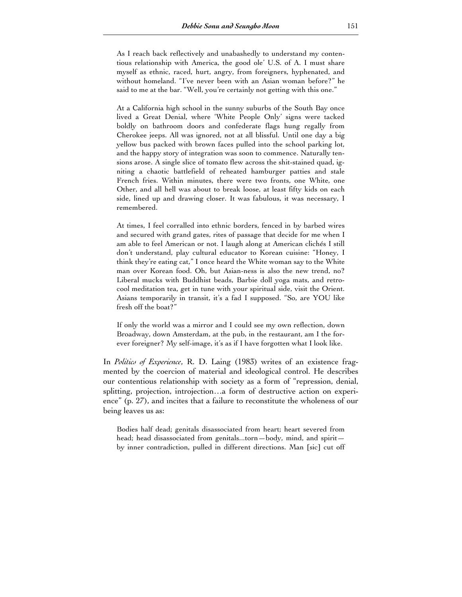As I reach back reflectively and unabashedly to understand my contentious relationship with America, the good ole' U.S. of A. I must share myself as ethnic, raced, hurt, angry, from foreigners, hyphenated, and without homeland. "I've never been with an Asian woman before?" he said to me at the bar. "Well, you're certainly not getting with this one."

At a California high school in the sunny suburbs of the South Bay once lived a Great Denial, where 'White People Only' signs were tacked boldly on bathroom doors and confederate flags hung regally from Cherokee jeeps. All was ignored, not at all blissful. Until one day a big yellow bus packed with brown faces pulled into the school parking lot, and the happy story of integration was soon to commence. Naturally tensions arose. A single slice of tomato flew across the shit-stained quad, igniting a chaotic battlefield of reheated hamburger patties and stale French fries. Within minutes, there were two fronts, one White, one Other, and all hell was about to break loose, at least fifty kids on each side, lined up and drawing closer. It was fabulous, it was necessary, I remembered.

At times, I feel corralled into ethnic borders, fenced in by barbed wires and secured with grand gates, rites of passage that decide for me when I am able to feel American or not. I laugh along at American clichés I still don't understand, play cultural educator to Korean cuisine: "Honey, I think they're eating cat," I once heard the White woman say to the White man over Korean food. Oh, but Asian-ness is also the new trend, no? Liberal mucks with Buddhist beads, Barbie doll yoga mats, and retrocool meditation tea, get in tune with your spiritual side, visit the Orient. Asians temporarily in transit, it's a fad I supposed. "So, are YOU like fresh off the boat?"

If only the world was a mirror and I could see my own reflection, down Broadway, down Amsterdam, at the pub, in the restaurant, am I the forever foreigner? My self-image, it's as if I have forgotten what I look like.

In *Politics of Experience*, R. D. Laing (1983) writes of an existence fragmented by the coercion of material and ideological control. He describes our contentious relationship with society as a form of "repression, denial, splitting, projection, introjection…a form of destructive action on experience" (p. 27), and incites that a failure to reconstitute the wholeness of our being leaves us as:

Bodies half dead; genitals disassociated from heart; heart severed from head; head disassociated from genitals...torn—body, mind, and spirit by inner contradiction, pulled in different directions. Man [sic] cut off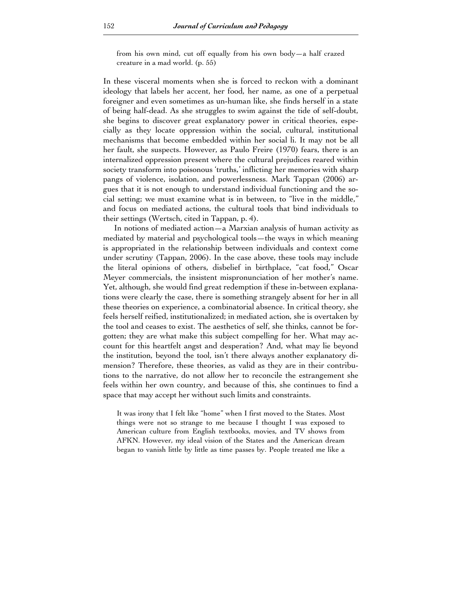from his own mind, cut off equally from his own body—a half crazed creature in a mad world. (p. 55)

In these visceral moments when she is forced to reckon with a dominant ideology that labels her accent, her food, her name, as one of a perpetual foreigner and even sometimes as un-human like, she finds herself in a state of being half-dead. As she struggles to swim against the tide of self-doubt, she begins to discover great explanatory power in critical theories, especially as they locate oppression within the social, cultural, institutional mechanisms that become embedded within her social li. It may not be all her fault, she suspects. However, as Paulo Freire (1970) fears, there is an internalized oppression present where the cultural prejudices reared within society transform into poisonous 'truths,' inflicting her memories with sharp pangs of violence, isolation, and powerlessness. Mark Tappan (2006) argues that it is not enough to understand individual functioning and the social setting; we must examine what is in between, to "live in the middle," and focus on mediated actions, the cultural tools that bind individuals to their settings (Wertsch, cited in Tappan, p. 4).

In notions of mediated action—a Marxian analysis of human activity as mediated by material and psychological tools—the ways in which meaning is appropriated in the relationship between individuals and context come under scrutiny (Tappan, 2006). In the case above, these tools may include the literal opinions of others, disbelief in birthplace, "cat food," Oscar Meyer commercials, the insistent mispronunciation of her mother's name. Yet, although, she would find great redemption if these in-between explanations were clearly the case, there is something strangely absent for her in all these theories on experience, a combinatorial absence. In critical theory, she feels herself reified, institutionalized; in mediated action, she is overtaken by the tool and ceases to exist. The aesthetics of self, she thinks, cannot be forgotten; they are what make this subject compelling for her. What may account for this heartfelt angst and desperation? And, what may lie beyond the institution, beyond the tool, isn't there always another explanatory dimension? Therefore, these theories, as valid as they are in their contributions to the narrative, do not allow her to reconcile the estrangement she feels within her own country, and because of this, she continues to find a space that may accept her without such limits and constraints.

It was irony that I felt like "home" when I first moved to the States. Most things were not so strange to me because I thought I was exposed to American culture from English textbooks, movies, and TV shows from AFKN. However, my ideal vision of the States and the American dream began to vanish little by little as time passes by. People treated me like a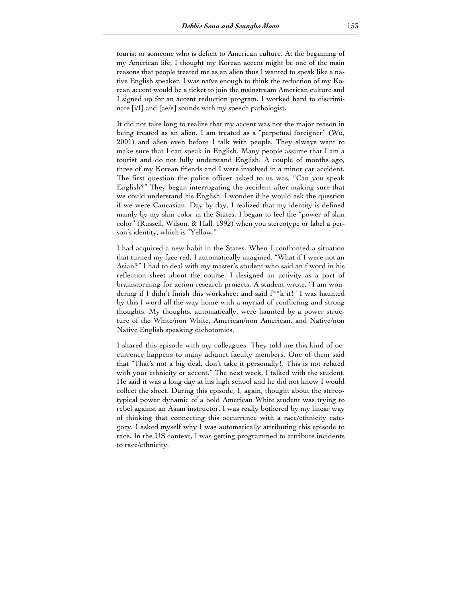tourist or someone who is deficit to American culture. At the beginning of my American life, I thought my Korean accent might be one of the main reasons that people treated me as an alien thus I wanted to speak like a native English speaker. I was naïve enough to think the reduction of my Korean accent would be a ticket to join the mainstream American culture and I signed up for an accent reduction program. I worked hard to discriminate [i/I] and [ae/e] sounds with my speech pathologist.

It did not take long to realize that my accent was not the major reason in being treated as an alien. I am treated as a "perpetual foreigner" (Wu, 2001) and alien even before I talk with people. They always want to make sure that I can speak in English. Many people assume that I am a tourist and do not fully understand English. A couple of months ago, three of my Korean friends and I were involved in a minor car accident. The first question the police officer asked to us was, "Can you speak English?" They began interrogating the accident after making sure that we could understand his English. I wonder if he would ask the question if we were Caucasian. Day by day, I realized that my identity is defined mainly by my skin color in the States. I began to feel the "power of skin color" (Russell, Wilson, & Hall, 1992) when you stereotype or label a person's identity, which is "Yellow."

I had acquired a new habit in the States. When I confronted a situation that turned my face red, I automatically imagined, "What if I were not an Asian?" I had to deal with my master's student who said an f word in his reflection sheet about the course. I designed an activity as a part of brainstorming for action research projects. A student wrote, "I am wondering if I didn't finish this worksheet and said f\*\*k it!" I was haunted by this f word all the way home with a myriad of conflicting and strong thoughts. My thoughts, automatically, were haunted by a power structure of the White/non White, American/non American, and Native/non Native English speaking dichotomies.

I shared this episode with my colleagues. They told me this kind of occurrence happens to many adjunct faculty members. One of them said that "That's not a big deal, don't take it personally!. This is not related with your ethnicity or accent." The next week, I talked with the student. He said it was a long day at his high school and he did not know I would collect the sheet. During this episode, I, again, thought about the stereotypical power dynamic of a bold American White student was trying to rebel against an Asian instructor. I was really bothered by my linear way of thinking that connecting this occurrence with a race/ethnicity category. I asked myself why I was automatically attributing this episode to race. In the US context, I was getting programmed to attribute incidents to race/ethnicity.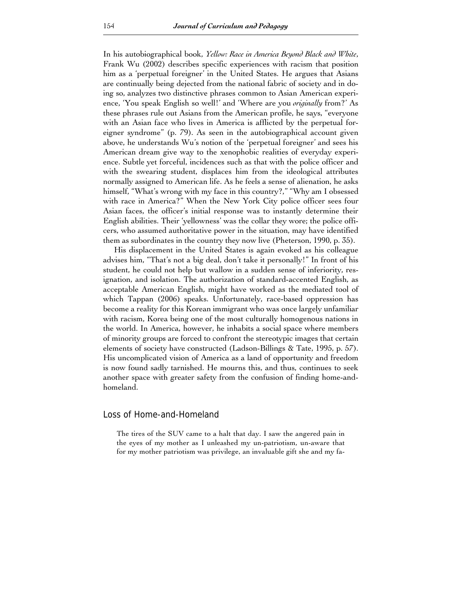In his autobiographical book, *Yellow: Race in America Beyond Black and White*, Frank Wu (2002) describes specific experiences with racism that position him as a 'perpetual foreigner' in the United States. He argues that Asians are continually being dejected from the national fabric of society and in doing so, analyzes two distinctive phrases common to Asian American experience, 'You speak English so well!' and 'Where are you *originally* from?' As these phrases rule out Asians from the American profile, he says, "everyone with an Asian face who lives in America is afflicted by the perpetual foreigner syndrome" (p. 79). As seen in the autobiographical account given above, he understands Wu's notion of the 'perpetual foreigner' and sees his American dream give way to the xenophobic realities of everyday experience. Subtle yet forceful, incidences such as that with the police officer and with the swearing student, displaces him from the ideological attributes normally assigned to American life. As he feels a sense of alienation, he asks himself, "What's wrong with my face in this country?," "Why am I obsessed with race in America?" When the New York City police officer sees four Asian faces, the officer's initial response was to instantly determine their English abilities. Their 'yellowness' was the collar they wore; the police officers, who assumed authoritative power in the situation, may have identified them as subordinates in the country they now live (Pheterson, 1990, p. 35).

His displacement in the United States is again evoked as his colleague advises him, "That's not a big deal, don't take it personally!" In front of his student, he could not help but wallow in a sudden sense of inferiority, resignation, and isolation. The authorization of standard-accented English, as acceptable American English, might have worked as the mediated tool of which Tappan (2006) speaks. Unfortunately, race-based oppression has become a reality for this Korean immigrant who was once largely unfamiliar with racism, Korea being one of the most culturally homogenous nations in the world. In America, however, he inhabits a social space where members of minority groups are forced to confront the stereotypic images that certain elements of society have constructed (Ladson-Billings & Tate, 1995, p. 57). His uncomplicated vision of America as a land of opportunity and freedom is now found sadly tarnished. He mourns this, and thus, continues to seek another space with greater safety from the confusion of finding home-andhomeland.

#### Loss of Home-and-Homeland

The tires of the SUV came to a halt that day. I saw the angered pain in the eyes of my mother as I unleashed my un-patriotism, un-aware that for my mother patriotism was privilege, an invaluable gift she and my fa-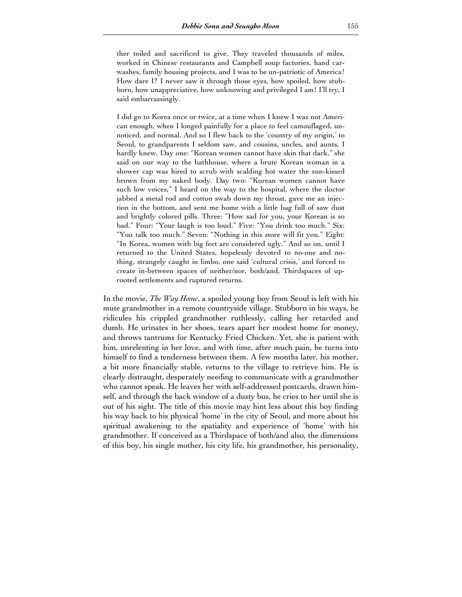ther toiled and sacrificed to give. They traveled thousands of miles, worked in Chinese restaurants and Campbell soup factories, hand carwashes, family housing projects, and I was to be un-patriotic of America! How dare I? I never saw it through those eyes, how spoiled, how stubborn, how unappreciative, how unknowing and privileged I am! I'll try, I said embarrassingly.

I did go to Korea once or twice, at a time when I knew I was not American enough, when I longed painfully for a place to feel camouflaged, unnoticed, and normal. And so I flew back to the 'country of my origin,' to Seoul, to grandparents I seldom saw, and cousins, uncles, and aunts, I hardly knew. Day one: "Korean women cannot have skin that dark," she said on our way to the bathhouse, where a brute Korean woman in a shower cap was hired to scrub with scalding hot water the sun-kissed brown from my naked body. Day two: "Korean women cannot have such low voices," I heard on the way to the hospital, where the doctor jabbed a metal rod and cotton swab down my throat, gave me an injection in the bottom, and sent me home with a little bag full of saw dust and brightly colored pills. Three: "How sad for you, your Korean is so bad." Four: "Your laugh is too loud." Five: "You drink too much." Six: "You talk too much." Seven: "Nothing in this store will fit you." Eight: "In Korea, women with big feet are considered ugly." And so on, until I returned to the United States, hopelessly devoted to no-one and nothing, strangely caught in limbo, one said 'cultural crisis,' and forced to create in-between spaces of neither/nor, both/and, Thirdspaces of uprooted settlements and ruptured returns.

In the movie, *The Way Home*, a spoiled young boy from Seoul is left with his mute grandmother in a remote countryside village. Stubborn in his ways, he ridicules his crippled grandmother ruthlessly, calling her retarded and dumb. He urinates in her shoes, tears apart her modest home for money, and throws tantrums for Kentucky Fried Chicken. Yet, she is patient with him, unrelenting in her love, and with time, after much pain, he turns into himself to find a tenderness between them. A few months later, his mother, a bit more financially stable, returns to the village to retrieve him. He is clearly distraught, desperately needing to communicate with a grandmother who cannot speak. He leaves her with self-addressed postcards, drawn himself, and through the back window of a dusty bus, he cries to her until she is out of his sight. The title of this movie may hint less about this boy finding his way back to his physical 'home' in the city of Seoul, and more about his spiritual awakening to the spatiality and experience of 'home' with his grandmother. If conceived as a Thirdspace of both/and also, the dimensions of this boy, his single mother, his city life, his grandmother, his personality,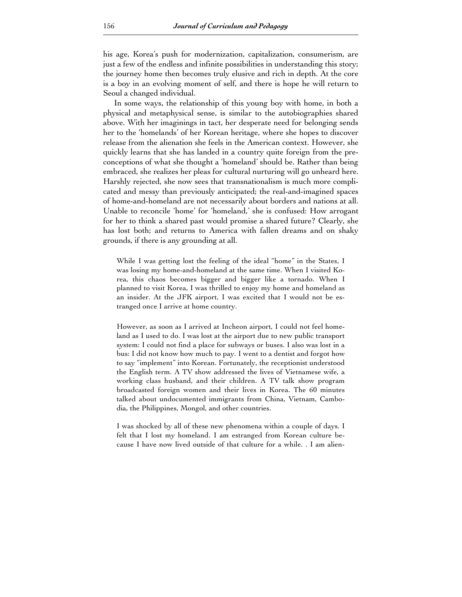his age, Korea's push for modernization, capitalization, consumerism, are just a few of the endless and infinite possibilities in understanding this story; the journey home then becomes truly elusive and rich in depth. At the core is a boy in an evolving moment of self, and there is hope he will return to Seoul a changed individual.

In some ways, the relationship of this young boy with home, in both a physical and metaphysical sense, is similar to the autobiographies shared above. With her imaginings in tact, her desperate need for belonging sends her to the 'homelands' of her Korean heritage, where she hopes to discover release from the alienation she feels in the American context. However, she quickly learns that she has landed in a country quite foreign from the preconceptions of what she thought a 'homeland' should be. Rather than being embraced, she realizes her pleas for cultural nurturing will go unheard here. Harshly rejected, she now sees that transnationalism is much more complicated and messy than previously anticipated; the real-and-imagined spaces of home-and-homeland are not necessarily about borders and nations at all. Unable to reconcile 'home' for 'homeland,' she is confused: How arrogant for her to think a shared past would promise a shared future? Clearly, she has lost both; and returns to America with fallen dreams and on shaky grounds, if there is any grounding at all.

While I was getting lost the feeling of the ideal "home" in the States, I was losing my home-and-homeland at the same time. When I visited Korea, this chaos becomes bigger and bigger like a tornado. When I planned to visit Korea, I was thrilled to enjoy my home and homeland as an insider. At the JFK airport, I was excited that I would not be estranged once I arrive at home country.

However, as soon as I arrived at Incheon airport, I could not feel homeland as I used to do. I was lost at the airport due to new public transport system: I could not find a place for subways or buses. I also was lost in a bus: I did not know how much to pay. I went to a dentist and forgot how to say "implement" into Korean. Fortunately, the receptionist understood the English term. A TV show addressed the lives of Vietnamese wife, a working class husband, and their children. A TV talk show program broadcasted foreign women and their lives in Korea. The 60 minutes talked about undocumented immigrants from China, Vietnam, Cambodia, the Philippines, Mongol, and other countries.

I was shocked by all of these new phenomena within a couple of days. I felt that I lost my homeland. I am estranged from Korean culture because I have now lived outside of that culture for a while. . I am alien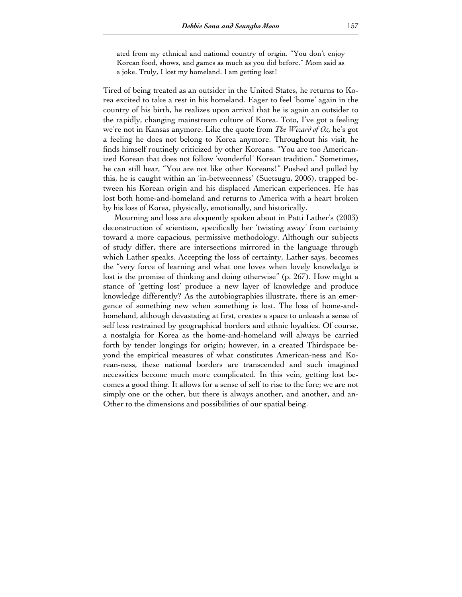ated from my ethnical and national country of origin. "You don't enjoy Korean food, shows, and games as much as you did before." Mom said as a joke. Truly, I lost my homeland. I am getting lost!

Tired of being treated as an outsider in the United States, he returns to Korea excited to take a rest in his homeland. Eager to feel 'home' again in the country of his birth, he realizes upon arrival that he is again an outsider to the rapidly, changing mainstream culture of Korea. Toto, I've got a feeling we're not in Kansas anymore. Like the quote from *The Wizard of Oz,* he's got a feeling he does not belong to Korea anymore. Throughout his visit, he finds himself routinely criticized by other Koreans. "You are too Americanized Korean that does not follow 'wonderful' Korean tradition." Sometimes, he can still hear, "You are not like other Koreans!" Pushed and pulled by this, he is caught within an 'in-betweenness' (Suetsugu, 2006), trapped between his Korean origin and his displaced American experiences. He has lost both home-and-homeland and returns to America with a heart broken by his loss of Korea, physically, emotionally, and historically.

Mourning and loss are eloquently spoken about in Patti Lather's (2003) deconstruction of scientism, specifically her 'twisting away' from certainty toward a more capacious, permissive methodology. Although our subjects of study differ, there are intersections mirrored in the language through which Lather speaks. Accepting the loss of certainty, Lather says, becomes the "very force of learning and what one loves when lovely knowledge is lost is the promise of thinking and doing otherwise" (p. 267). How might a stance of 'getting lost' produce a new layer of knowledge and produce knowledge differently? As the autobiographies illustrate, there is an emergence of something new when something is lost. The loss of home-andhomeland, although devastating at first, creates a space to unleash a sense of self less restrained by geographical borders and ethnic loyalties. Of course, a nostalgia for Korea as the home-and-homeland will always be carried forth by tender longings for origin; however, in a created Thirdspace beyond the empirical measures of what constitutes American-ness and Korean-ness, these national borders are transcended and such imagined necessities become much more complicated. In this vein, getting lost becomes a good thing. It allows for a sense of self to rise to the fore; we are not simply one or the other, but there is always another, and another, and an-Other to the dimensions and possibilities of our spatial being.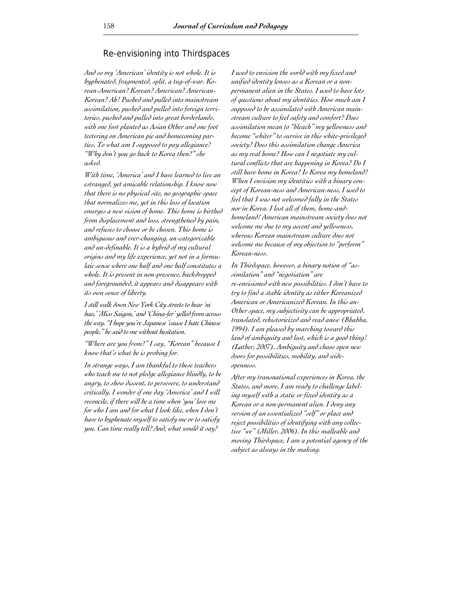#### Re-envisioning into Thirdspaces

*And so my 'American' identity is not whole. It is hyphenated, fragmented, split, a tug-of-war. Korean-American? Korean? American? American-Korean? Ah! Pushed and pulled into mainstream assimilation, pushed and pulled into foreign territories, pushed and pulled into great borderlands, with one foot planted as Asian Other and one foot teetering on American pie and homecoming parties. To what am I supposed to pay allegiance? "Why don't you go back to Korea then?" she asked.* 

*With time, 'America' and I have learned to live an estranged, yet amicable relationship. I know now that there is no physical site, no geographic space that normalizes me, yet in this loss of location emerges a new vision of home. This home is birthed from displacement and loss, strengthened by pain, and refuses to choose or be chosen. This home is ambiguous and ever-changing, un-categorizable and un-definable. It is a hybrid of my cultural origins and my life experience, yet not in a formulaic sense where one half and one half constitutes a whole. It is present in non-presence, backdropped and foregrounded, it appears and disappears with its own sense of liberty.* 

*I still walk down New York City streets to hear 'ni hao,' 'Miss Saigon,' and 'China-fer' yelled from across the way. "I hope you're Japanese 'cause I hate Chinese people," he said to me without hesitation.* 

*"Where are you from?" I say, "Korean" because I know that's what he is probing for.* 

*In strange ways, I am thankful to these teachers who teach me to not pledge allegiance blindly, to be angry, to show dissent, to persevere, to understand critically. I wonder if one day 'America' and I will reconcile, if there will be a time when 'you' love me for who I am and for what I look like, when I don't have to hyphenate myself to satisfy me or to satisfy you. Can time really tell? And, what would it say?*

*I used to envision the world with my fixed and unified identity lenses as a Korean or a nonpermanent alien in the States. I used to have lots of questions about my identities. How much am I supposed to be assimilated with American mainstream culture to feel safety and comfort? Does assimilation mean to "bleach" my yellowness and become "whiter" to survive in this white-privileged society? Does this assimilation change America as my real home? How can I negotiate my cultural conflicts that are happening in Korea? Do I still have home in Korea? Is Korea my homeland? When I envision my identities with a binary concept of Korean-ness and American-ness, I used to feel that I was not welcomed fully in the States nor in Korea. I lost all of them, home-andhomeland! American mainstream society does not welcome me due to my accent and yellowness, whereas Korean mainstream culture does not welcome me because of my objection to "perform" Korean-ness.* 

*In Thirdspace, however, a binary notion of "assimilation" and "negotiation" are re-envisioned with new possibilities. I don't have to try to find a stable identity as either Koreanized American or Americanized Korean. In this an-Other space, my subjectivity can be appropriated, translated, rehistoricized and read anew (Bhabha, 1994). I am pleased by marching toward this land of ambiguity and lost, which is a good thing! (Lather, 2007). Ambiguity and chaos open new doors for possibilities, mobility, and wideopenness.* 

*After my transnational experiences in Korea, the States, and more, I am ready to challenge labeling myself with a static or fixed identity as a Korean or a non-permanent alien. I deny any version of an essentialized "self" or place and reject possibilities of identifying with any collective "we" (Miller, 2006). In this malleable and moving Thirdspace, I am a potential agency of the subject as always in the making.*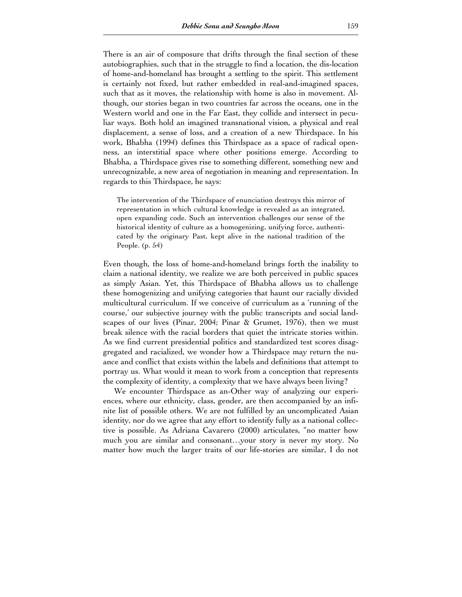There is an air of composure that drifts through the final section of these autobiographies, such that in the struggle to find a location, the dis-location of home-and-homeland has brought a settling to the spirit. This settlement is certainly not fixed, but rather embedded in real-and-imagined spaces, such that as it moves, the relationship with home is also in movement. Although, our stories began in two countries far across the oceans, one in the Western world and one in the Far East, they collide and intersect in peculiar ways. Both hold an imagined transnational vision, a physical and real displacement, a sense of loss, and a creation of a new Thirdspace. In his work, Bhabha (1994) defines this Thirdspace as a space of radical openness, an interstitial space where other positions emerge. According to Bhabha, a Thirdspace gives rise to something different, something new and unrecognizable, a new area of negotiation in meaning and representation. In regards to this Thirdspace, he says:

The intervention of the Thirdspace of enunciation destroys this mirror of representation in which cultural knowledge is revealed as an integrated, open expanding code. Such an intervention challenges our sense of the historical identity of culture as a homogenizing, unifying force, authenticated by the originary Past, kept alive in the national tradition of the People. (p. 54)

Even though, the loss of home-and-homeland brings forth the inability to claim a national identity, we realize we are both perceived in public spaces as simply Asian. Yet, this Thirdspace of Bhabha allows us to challenge these homogenizing and unifying categories that haunt our racially divided multicultural curriculum. If we conceive of curriculum as a 'running of the course,' our subjective journey with the public transcripts and social landscapes of our lives (Pinar, 2004; Pinar & Grumet, 1976), then we must break silence with the racial borders that quiet the intricate stories within. As we find current presidential politics and standardized test scores disaggregated and racialized, we wonder how a Thirdspace may return the nuance and conflict that exists within the labels and definitions that attempt to portray us. What would it mean to work from a conception that represents the complexity of identity, a complexity that we have always been living?

We encounter Thirdspace as an-Other way of analyzing our experiences, where our ethnicity, class, gender, are then accompanied by an infinite list of possible others. We are not fulfilled by an uncomplicated Asian identity, nor do we agree that any effort to identify fully as a national collective is possible. As Adriana Cavarero (2000) articulates, "no matter how much you are similar and consonant…your story is never my story. No matter how much the larger traits of our life-stories are similar, I do not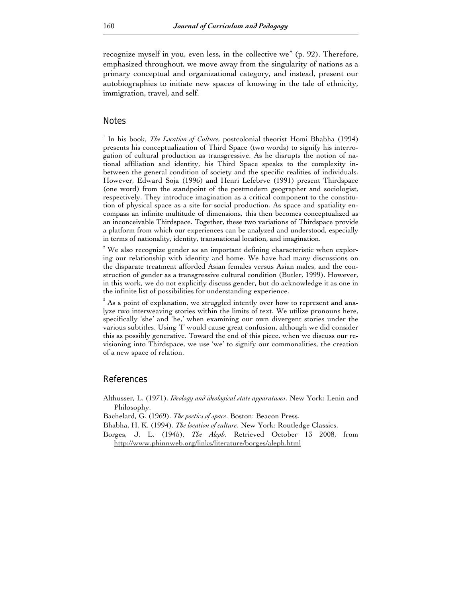recognize myself in you, even less, in the collective we" (p. 92). Therefore, emphasized throughout, we move away from the singularity of nations as a primary conceptual and organizational category, and instead, present our autobiographies to initiate new spaces of knowing in the tale of ethnicity, immigration, travel, and self.

#### Notes

<sup>1</sup> In his book, *The Location of Culture*, postcolonial theorist Homi Bhabha (1994) presents his conceptualization of Third Space (two words) to signify his interrogation of cultural production as transgressive. As he disrupts the notion of national affiliation and identity, his Third Space speaks to the complexity inbetween the general condition of society and the specific realities of individuals. However, Edward Soja (1996) and Henri Lefebrve (1991) present Thirdspace (one word) from the standpoint of the postmodern geographer and sociologist, respectively. They introduce imagination as a critical component to the constitution of physical space as a site for social production. As space and spatiality encompass an infinite multitude of dimensions, this then becomes conceptualized as an inconceivable Thirdspace. Together, these two variations of Thirdspace provide a platform from which our experiences can be analyzed and understood, especially in terms of nationality, identity, transnational location, and imagination.

 $^2$  We also recognize gender as an important defining characteristic when exploring our relationship with identity and home. We have had many discussions on the disparate treatment afforded Asian females versus Asian males, and the construction of gender as a transgressive cultural condition (Butler, 1999). However, in this work, we do not explicitly discuss gender, but do acknowledge it as one in the infinite list of possibilities for understanding experience.

 $3^3$  As a point of explanation, we struggled intently over how to represent and analyze two interweaving stories within the limits of text. We utilize pronouns here, specifically 'she' and 'he,' when examining our own divergent stories under the various subtitles. Using 'I' would cause great confusion, although we did consider this as possibly generative. Toward the end of this piece, when we discuss our revisioning into Thirdspace, we use 'we' to signify our commonalities, the creation of a new space of relation.

#### References

Althusser, L. (1971). *Ideology and ideological state apparatuses*. New York: Lenin and Philosophy.

Bachelard, G. (1969). *The poetics of space*. Boston: Beacon Press.

Bhabha, H. K. (1994). *The location of culture*. New York: Routledge Classics.

Borges, J. L. (1945). *The Aleph*. Retrieved October 13 2008, from http://www.phinnweb.org/links/literature/borges/aleph.html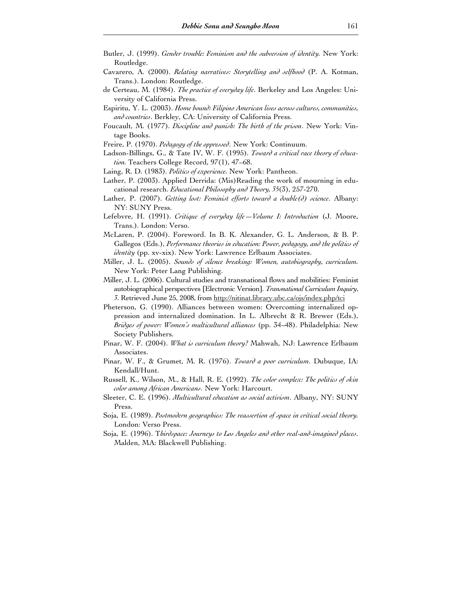- Butler, J. (1999). *Gender trouble: Feminism and the subversion of identity.* New York: Routledge.
- Cavarero, A. (2000). *Relating narratives: Storytelling and selfhood* (P. A. Kotman, Trans.). London: Routledge.
- de Certeau, M. (1984). *The practice of everyday life*. Berkeley and Los Angeles: University of California Press.
- Espiritu, Y. L. (2003). *Home bound: Filipino American lives across cultures, communities, and countries*. Berkley, CA: University of California Press.
- Foucault, M. (1977). *Discipline and punish: The birth of the prison*. New York: Vintage Books.
- Freire, P. (1970). *Pedagogy of the oppressed*. New York: Continuum.
- Ladson-Billings, G., & Tate IV, W. F. (1995). *Toward a critical race theory of education.* Teachers College Record, 97(1), 47–68.
- Laing, R. D. (1983). *Politics of experience.* New York: Pantheon.
- Lather, P. (2003). Applied Derrida: (Mis)Reading the work of mourning in educational research. *Educational Philosophy and Theory, 35*(3), 257-270.
- Lather, P. (2007). *Getting lost: Feminist efforts toward a double(d) science*. Albany: NY: SUNY Press.
- Lefebvre, H. (1991). *Critique of everyday life—Volume I: Introduction* (J. Moore, Trans.). London: Verso.
- McLaren, P. (2004). Foreword. In B. K. Alexander, G. L. Anderson, & B. P. Gallegos (Eds.), *Performance theories in education: Power, pedagogy, and the politics of identity* (pp. xv-xix). New York: Lawrence Erlbaum Associates.
- Miller, J. L. (2005). *Sounds of silence breaking: Women, autobiography, curriculum.* New York: Peter Lang Publishing.
- Miller, J. L. (2006). Cultural studies and transnational flows and mobilities: Feminist autobiographical perspectives [Electronic Version]. *Transnational Curriculum Inquiry*, *3*. Retrieved June 25, 2008, from http://nitinat.library.ubc.ca/ojs/index.php/tci
- Pheterson, G. (1990). Alliances between women: Overcoming internalized oppression and internalized domination. In L. Albrecht & R. Brewer (Eds.), *Bridges of power: Women's multicultural alliances* (pp. 34–48). Philadelphia: New Society Publishers.
- Pinar, W. F. (2004). *What is curriculum theory?* Mahwah, NJ: Lawrence Erlbaum Associates.
- Pinar, W. F., & Grumet, M. R. (1976). *Toward a poor curriculum*. Dubuque, IA: Kendall/Hunt.
- Russell, K., Wilson, M., & Hall, R. E. (1992). *The color complex: The politics of skin color among African Americans*. New York: Harcourt.
- Sleeter, C. E. (1996). *Multicultural education as social activism*. Albany, NY: SUNY Press.
- Soja, E. (1989). *Postmodern geographies: The reassertion of space in critical social theory.* London: Verso Press.
- Soja, E. (1996). T*hirdspace: Journeys to Los Angeles and other real-and-imagined places*. Malden, MA: Blackwell Publishing.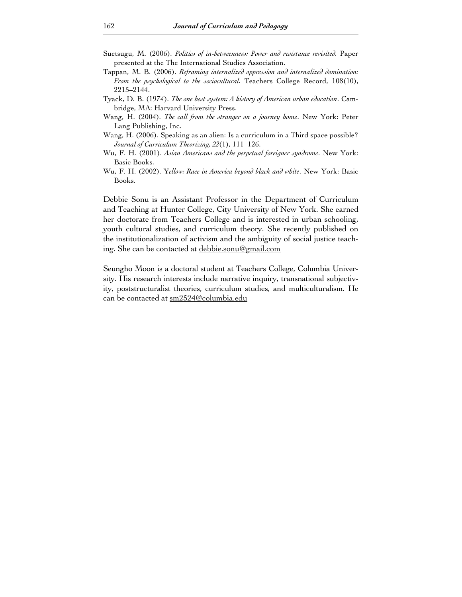- Suetsugu, M. (2006). *Politics of in-betweenness: Power and resistance revisited.* Paper presented at the The International Studies Association.
- Tappan, M. B. (2006). *Reframing internalized oppression and internalized domination: From the psychological to the sociocultural.* Teachers College Record, 108(10), 2215–2144.
- Tyack, D. B. (1974). *The one best system: A history of American urban education*. Cambridge, MA: Harvard University Press.
- Wang, H. (2004). *The call from the stranger on a journey home*. New York: Peter Lang Publishing, Inc.
- Wang, H. (2006). Speaking as an alien: Is a curriculum in a Third space possible? *Journal of Curriculum Theorizing, 22*(1), 111–126.
- Wu, F. H. (2001). *Asian Americans and the perpetual foreigner syndrome*. New York: Basic Books.
- Wu, F. H. (2002). Y*ellow: Race in America beyond black and white*. New York: Basic Books.

Debbie Sonu is an Assistant Professor in the Department of Curriculum and Teaching at Hunter College, City University of New York. She earned her doctorate from Teachers College and is interested in urban schooling, youth cultural studies, and curriculum theory. She recently published on the institutionalization of activism and the ambiguity of social justice teaching. She can be contacted at debbie.sonu@gmail.com

Seungho Moon is a doctoral student at Teachers College, Columbia University. His research interests include narrative inquiry, transnational subjectivity, poststructuralist theories, curriculum studies, and multiculturalism. He can be contacted at sm2524@columbia.edu